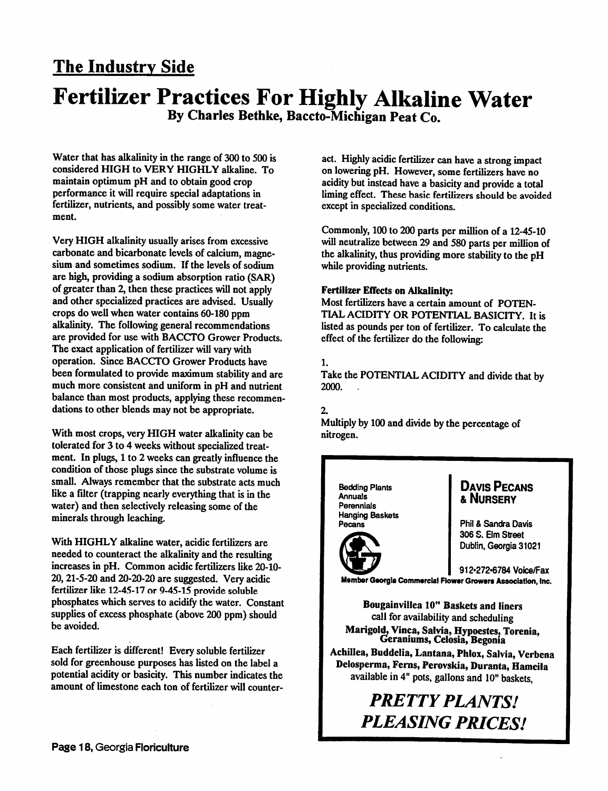### *The Industry Side*

### *Fertilizer Practices For Highly Alkaline Water By Charles Bethke, Baccto-Michigan Peat Co.*

Water that has alkalinity in the range of 300 to 500 is considered HIGH to VERY HIGHLY alkaline. To maintain optimum pH and to obtain good crop performance it will require special adaptations in fertilizer, nutrients, and possibly some water treat ment.

Very HIGH alkalinity usually arises from excessive carbonate and bicarbonate levels of calcium, magne sium and sometimes sodium. If the levels of sodium are high, providing a sodium absorption ratio (SAR) of greater than 2, then these practices will not apply and other specialized practices are advised. Usually crops do wellwhen water contains 60-180 ppm alkalinity. The following general recommendations are provided for use with BACCTO Grower Products. The exact application of fertilizer will vary with operation. Since BACCTO Grower Products have been formulated to provide maximum stability and are much more consistent and uniform in pH and nutrient balance than most products, applying these recommen dations to other blends may not be appropriate.

With most crops, very HIGH water alkalinity can be tolerated for 3 to 4 weeks without specialized treatment. In plugs, 1 to 2 weeks can greatly influence the condition of those plugs since the substrate volume is small. Always remember that the substrate acts much like a filter (trapping nearly everything that is in the water) and then selectively releasing some of the minerals through leaching.

With HIGHLY alkaline water, acidic fertilizers are needed to counteract the alkalinity and the resulting increases in pH. Common acidic fertilizers like 20-10- 20,21-5-20 and 20-20-20 are suggested. Very acidic fertilizer like 12-45-17 or 9-45-15 provide soluble phosphates which serves to acidify the water. Constant supplies of excess phosphate (above 200 ppm) should be avoided.

Each fertilizer is different! Every soluble fertilizer sold for greenhouse purposes has listed on the label a potential acidity or basicity. This number indicates the amount of limestone each ton of fertilizer will counter

act. Highly acidic fertilizer can have a strong impact on lowering pH. However, some fertilizers have no acidity but instead have a basicity and provide a total liming effect. These basic fertilizers should be avoided except in specialized conditions.

Commonly, 100 to 200 parts per million of a 12-45-10 will neutralize between 29 and 580 parts per million of the alkalinity, thus providing more stability to the pH while providing nutrients.

#### *Fertilizer Effects on Alkalinity:*

Most fertilizers have a certain amount of POTEN TIAL ACIDITY OR POTENTIAL BASICITY. It is listed as pounds per ton of fertilizer. To calculate the effect of the fertilizer do the following:

#### 1.

Take the POTENTIAL ACIDITY and divide that by 2000. .

#### 2.

Multiply by 100 and divide by the percentage of nitrogen.

*Bedding Plants Annuals Perennials Hanging Baskets Pecans*

#### *Davis Pecans &Nursery*

*Phil & Sandra Davis 306 S. Elm Street Dublin, Georgia 31021*

*912»272«6784 Voice/Fax*

*MemberGeorgia Commercial Flower GrowersAssociation, Inc.*

*Bougainvillea 10" Baskets and liners* call for availability and scheduling *Marigold.Vinca, Salvia, Hypoestes.Torenia, Geraniums, Celosia, Begonia*

*Achillea, Buddelia, Lantana,Phlox, Salvia, Verbena Delosperma, Ferns, Perovskia, Duranta,Hamcila* available in 4" pots, gallons and 10" baskets,

## *PRETTYPLANTS! PLEASING PRICES!*